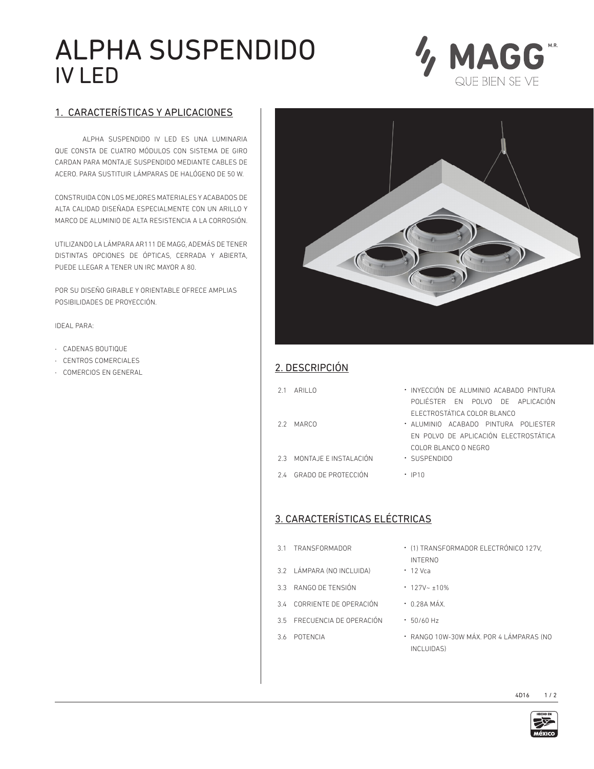# ALPHA SUSPENDIDO IV LED



### 1. CARACTERÍSTICAS Y APLICACIONES

ALPHA SUSPENDIDO IV LED ES UNA LUMINARIA QUE CONSTA DE CUATRO MÓDULOS CON SISTEMA DE GIRO CARDAN PARA MONTAJE SUSPENDIDO MEDIANTE CABLES DE ACERO. PARA SUSTITUIR LÁMPARAS DE HALÓGENO DE 50 W.

CONSTRUIDA CON LOS MEJORES MATERIALES Y ACABADOS DE ALTA CALIDAD DISEÑADA ESPECIALMENTE CON UN ARILLO Y MARCO DE ALUMINIO DE ALTA RESISTENCIA A LA CORROSIÓN.

UTILIZANDO LA LÁMPARA AR111 DE MAGG, ADEMÁS DE TENER DISTINTAS OPCIONES DE ÓPTICAS, CERRADA Y ABIERTA, PUEDE LLEGAR A TENER UN IRC MAYOR A 80.

POR SU DISEÑO GIRABLE Y ORIENTABLE OFRECE AMPLIAS POSIBILIDADES DE PROYECCIÓN.

IDEAL PARA:

- · CADENAS BOUTIQUE
- · CENTROS COMERCIALES
- 



## • CENTROS COMERCIALES<br>• COMERCIOS EN GENERAL **2. DESCRIPCIÓN**

| 2.1 ARILLO | · INYECCIÓN DE ALUMINIO ACABADO PINTURA |  |  |
|------------|-----------------------------------------|--|--|
|            | $201166750$ $511.20116$ $251.210161061$ |  |  |

- POLIÉSTER EN POLVO DE APLICACIÓN ELECTROSTÁTICA COLOR BLANCO
- 2.2 MARCO · ALUMINIO ACABADO PINTURA POLIESTER EN POLVO DE APLICACIÓN ELECTROSTÁTICA COLOR BLANCO O NEGRO
- 2.3 MONTAJE E INSTALACIÓN · SUSPENDIDO
- 2.4 GRADO DE PROTECCIÓN ∙ IP10

#### 3. CARACTERÍSTICAS ELÉCTRICAS

- 
- 3.2 LÁMPARA (NO INCLUIDA) · 12 Vca
- 3.3 RANGO DE TENSIÓN · 127V~ ±10%
- 3.4 CORRIENTE DE OPERACIÓN · 0.28A MÁX.
- 3.5 FRECUENCIA DE OPERACIÓN · 50/60 Hz
- 
- 3.1 TRANSFORMADOR · (1) TRANSFORMADOR ELECTRÓNICO 127V, INTERNO
	-
	-
	-
	-
- 3.6 POTENCIA · RANGO 10W-30W MÁX. POR 4 LÁMPARAS (NO INCLUIDAS)